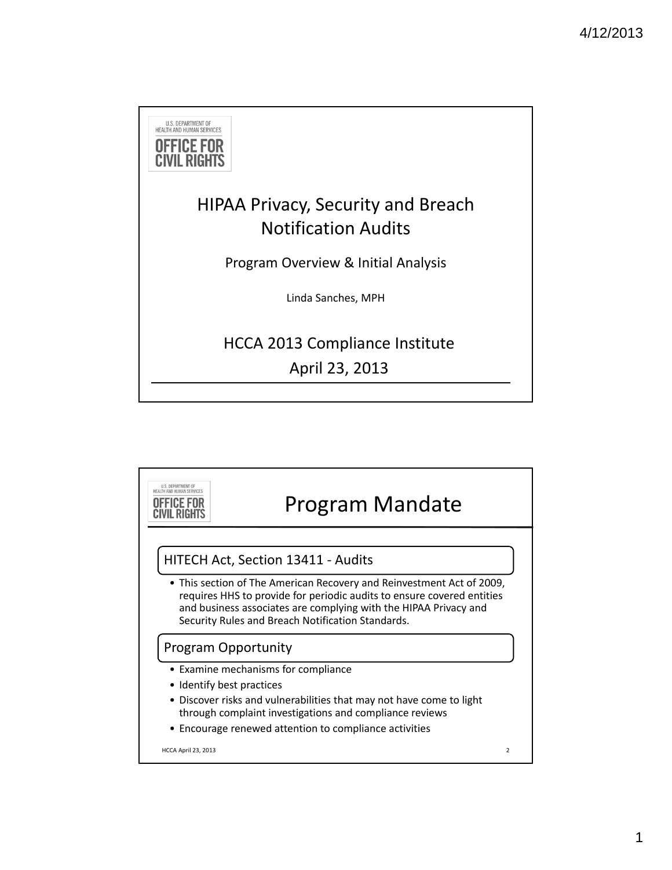

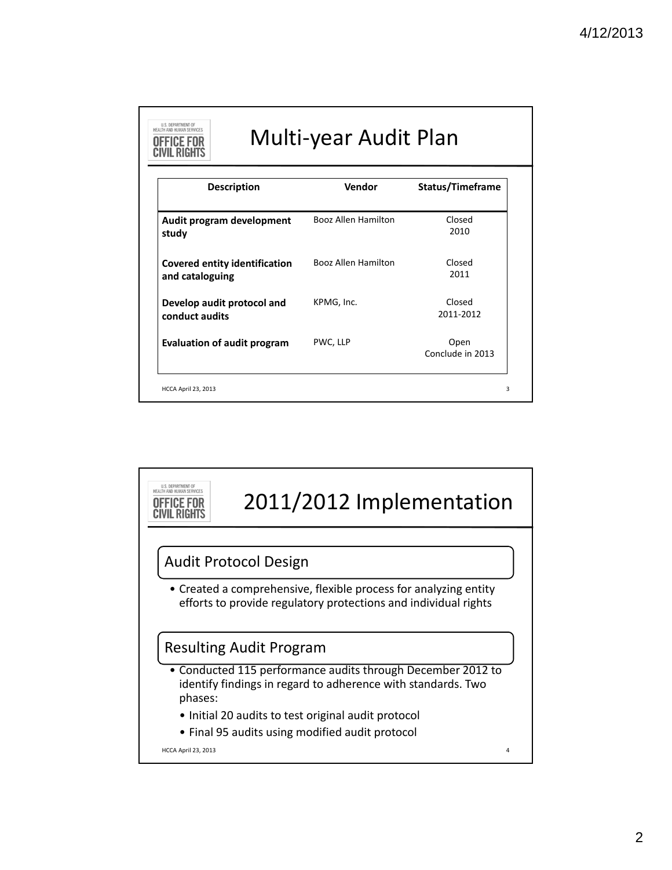| <b>Description</b>                                      | Vendor              | Status/Timeframe         |
|---------------------------------------------------------|---------------------|--------------------------|
| Audit program development<br>study                      | Booz Allen Hamilton | Closed<br>2010           |
| <b>Covered entity identification</b><br>and cataloguing | Booz Allen Hamilton | Closed<br>2011           |
| Develop audit protocol and<br>conduct audits            | KPMG, Inc.          | Closed<br>2011-2012      |
| <b>Evaluation of audit program</b>                      | PWC, LLP            | Open<br>Conclude in 2013 |

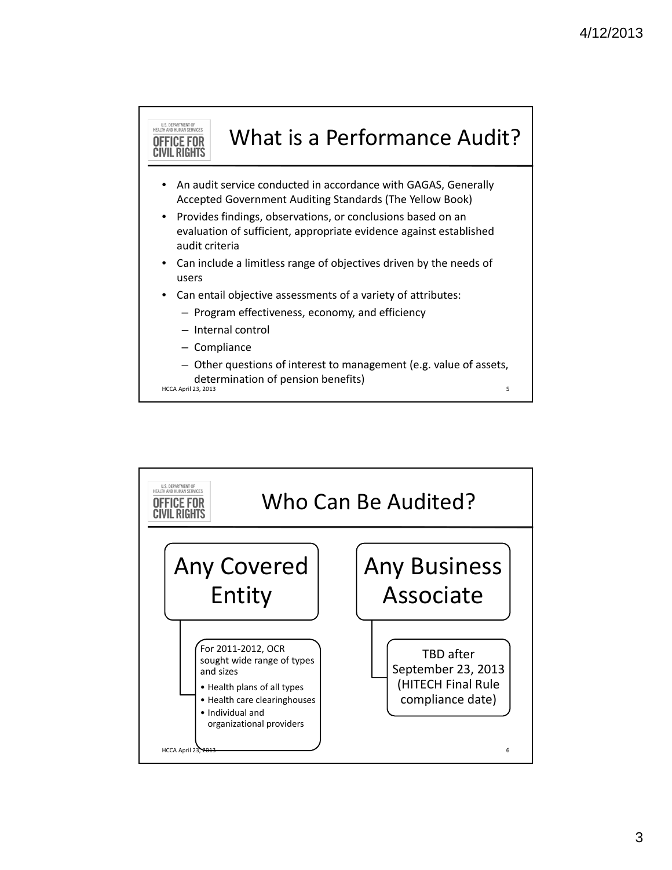

U.S. DEPARTMENT OF<br>HEALTH AND HUMAN SERVICES Who Can Be Audited? **OFFICE FOR CIVIL RIGHTS** Any Covered Any Business Associate Entity For 2011‐2012, OCR TBD after sought wide range of types September 23, 2013 and sizes (HITECH Final Rule • Health plans of all types compliance date) • Health care clearinghouses • Individual and organizational providers HCCA April 23, 2013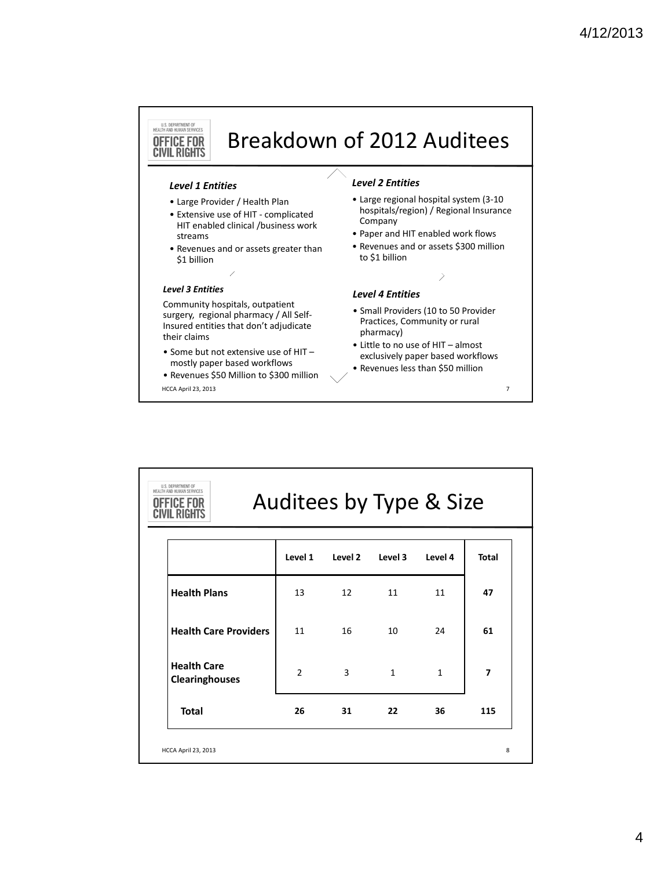# Breakdown of 2012 Auditees

#### *Level 1 Entities*

U.S. DEPARTMENT OF<br>HEALTH AND HUMAN SERVICES **OFFICE FOR CIVIL RIGHTS** 

- Large Provider / Health Plan
- Extensive use of HIT ‐ complicated HIT enabled clinical /business work streams
- Revenues and or assets greater than \$1 billion

### *Level 3 Entities*

Community hospitals, outpatient surgery, regional pharmacy / All Self‐ Insured entities that don't adjudicate their claims

• Some but not extensive use of HIT – mostly paper based workflows

• Revenues \$50 Million to \$300 million HCCA April 23, 2013 7

# *Level 2 Entities*

- Large regional hospital system (3‐10 hospitals/region) / Regional Insurance Company
- Paper and HIT enabled work flows
- Revenues and or assets \$300 million to \$1 billion

# *Level 4 Entities*

- Small Providers (10 to 50 Provider Practices, Community or rural pharmacy)
- Little to no use of HIT almost exclusively paper based workflows
- Revenues less than \$50 million

| U.S. DEPARTMENT OF<br>HEALTH AND HUMAN SERVICES<br>Auditees by Type & Size |                |         |              |              |                |  |
|----------------------------------------------------------------------------|----------------|---------|--------------|--------------|----------------|--|
|                                                                            | Level 1        | Level 2 | Level 3      | Level 4      | <b>Total</b>   |  |
| <b>Health Plans</b>                                                        | 13             | 12      | 11           | 11           | 47             |  |
| <b>Health Care Providers</b>                                               | 11             | 16      | 10           | 24           | 61             |  |
| <b>Health Care</b><br><b>Clearinghouses</b>                                | $\mathfrak{p}$ | 3       | $\mathbf{1}$ | $\mathbf{1}$ | $\overline{ }$ |  |
| <b>Total</b>                                                               | 26             | 31      | 22           | 36           | 115            |  |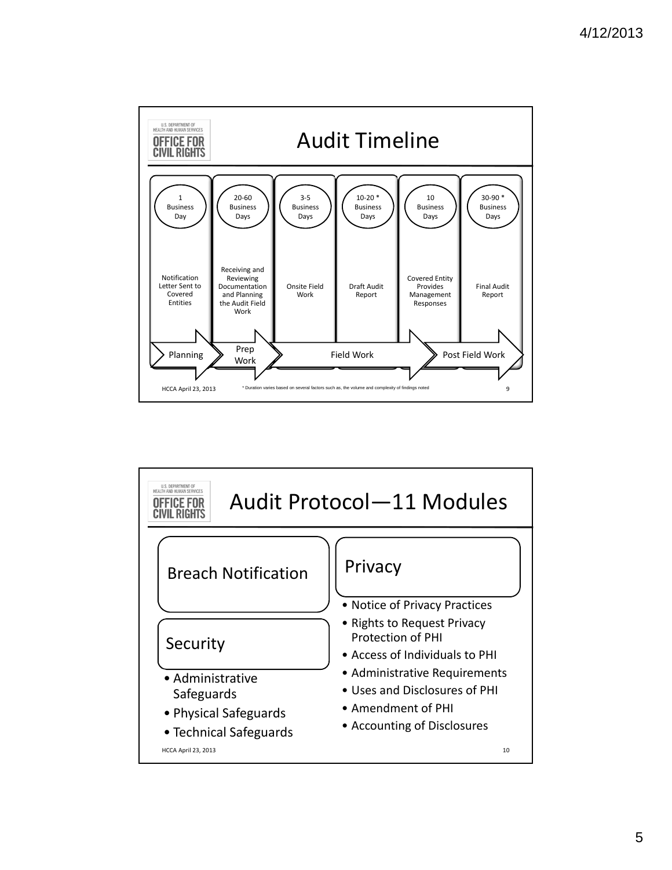

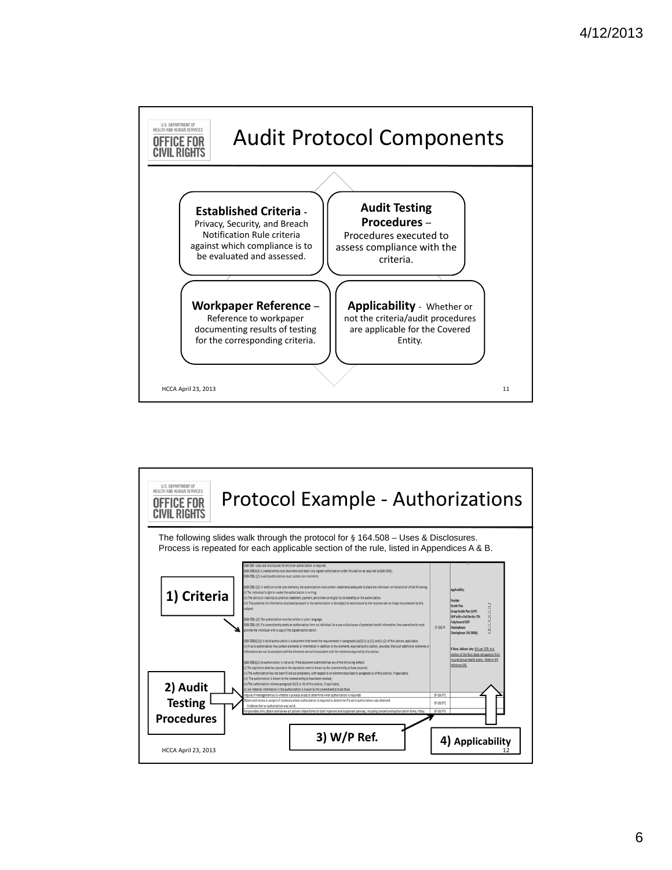

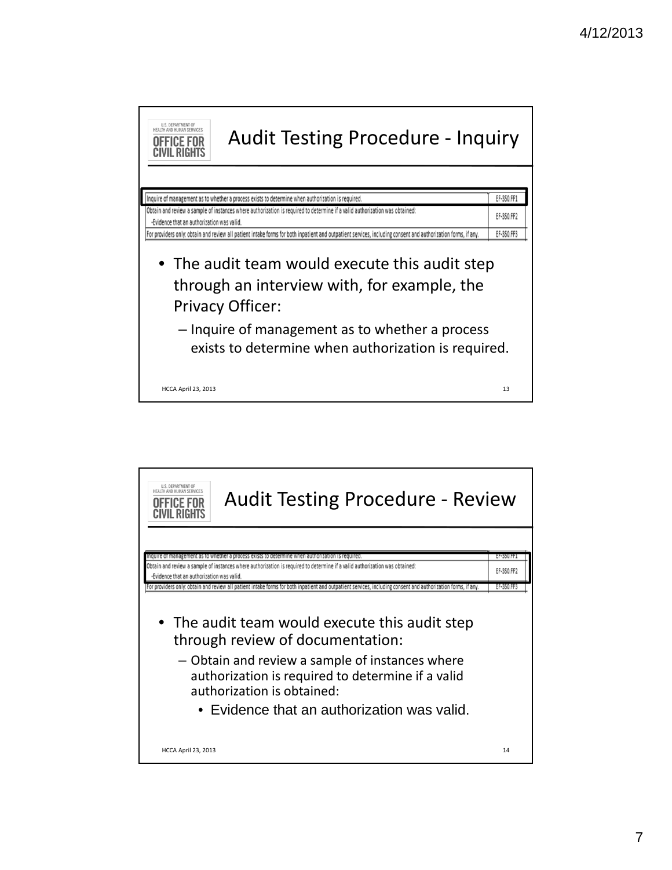

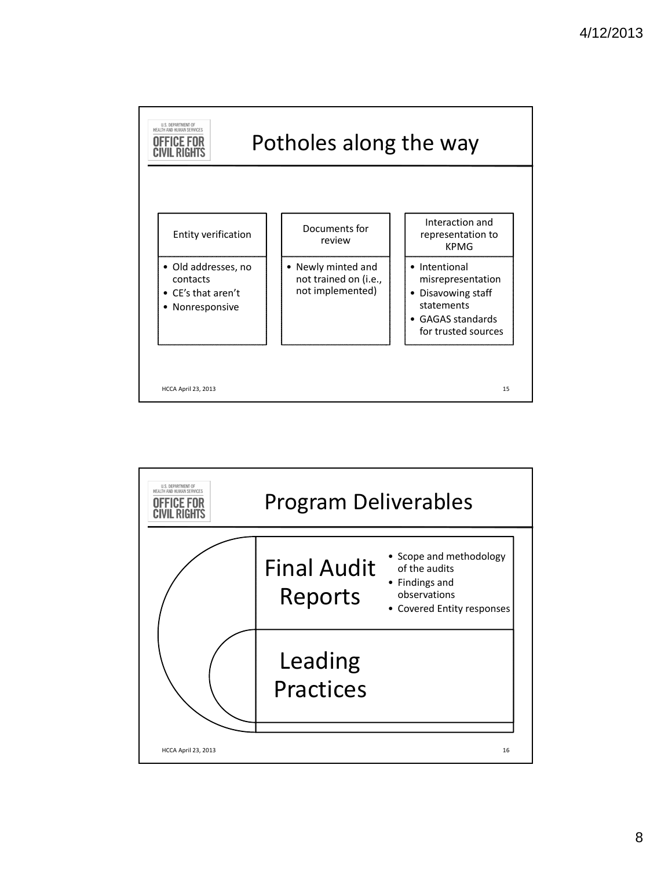

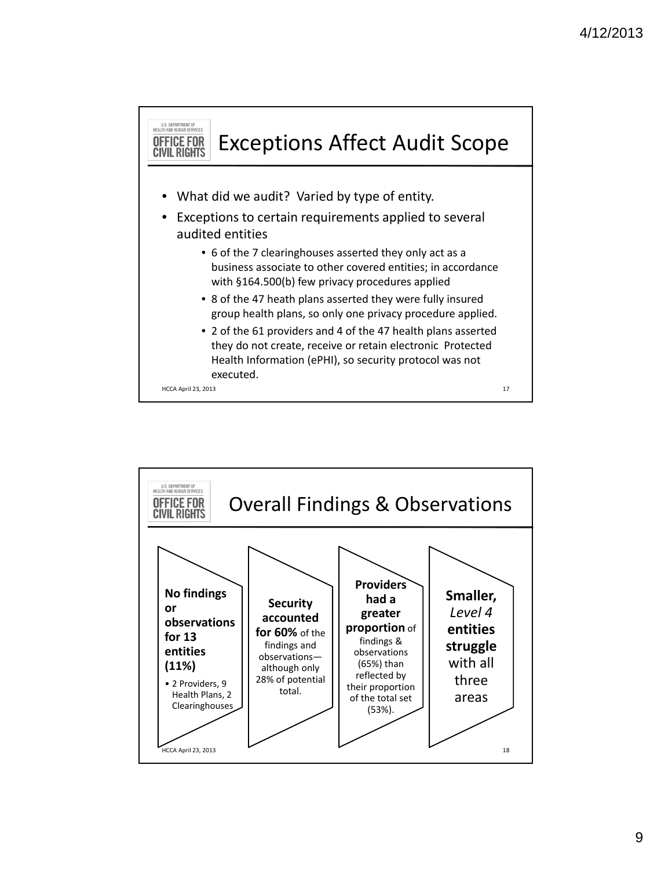

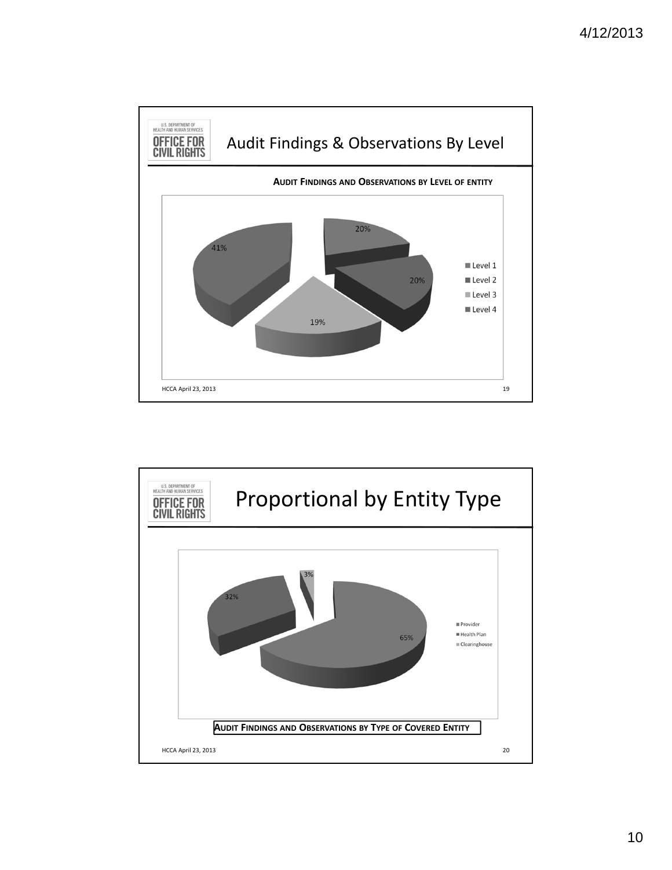

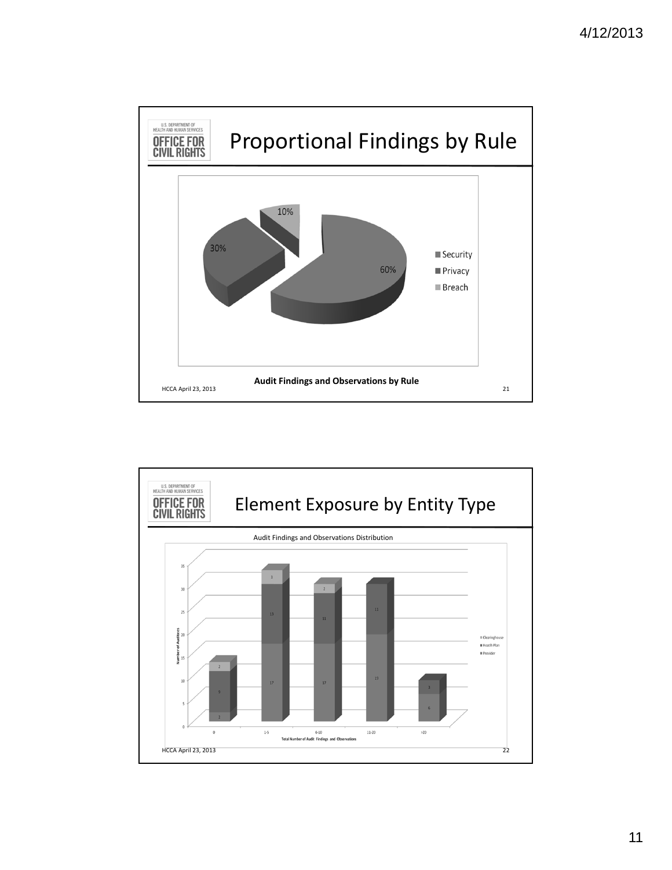

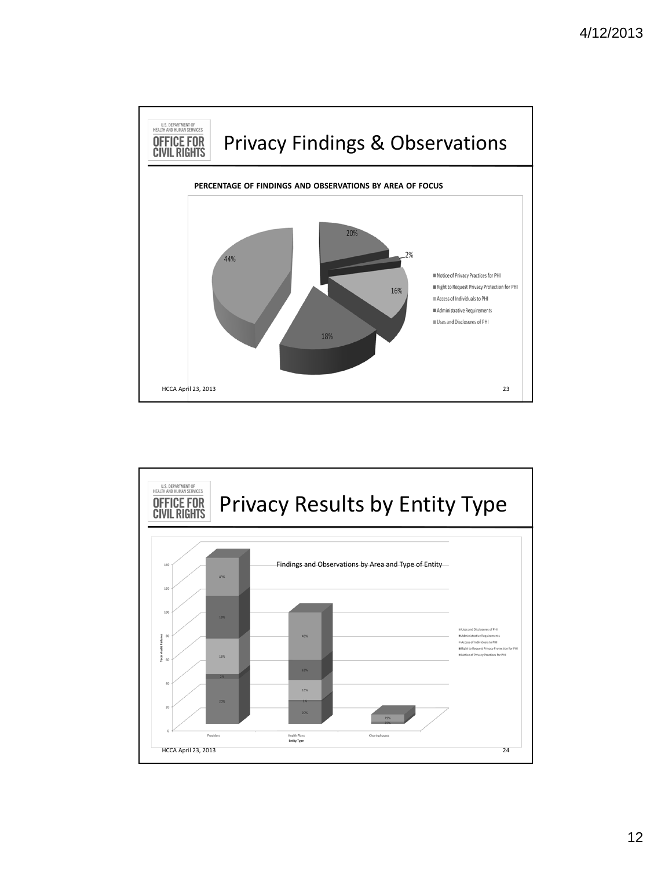

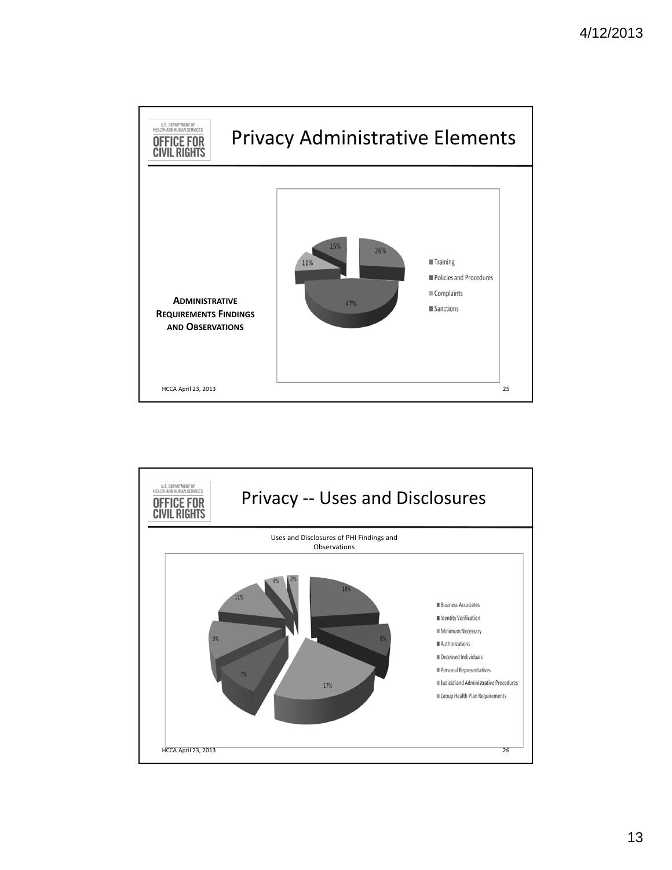

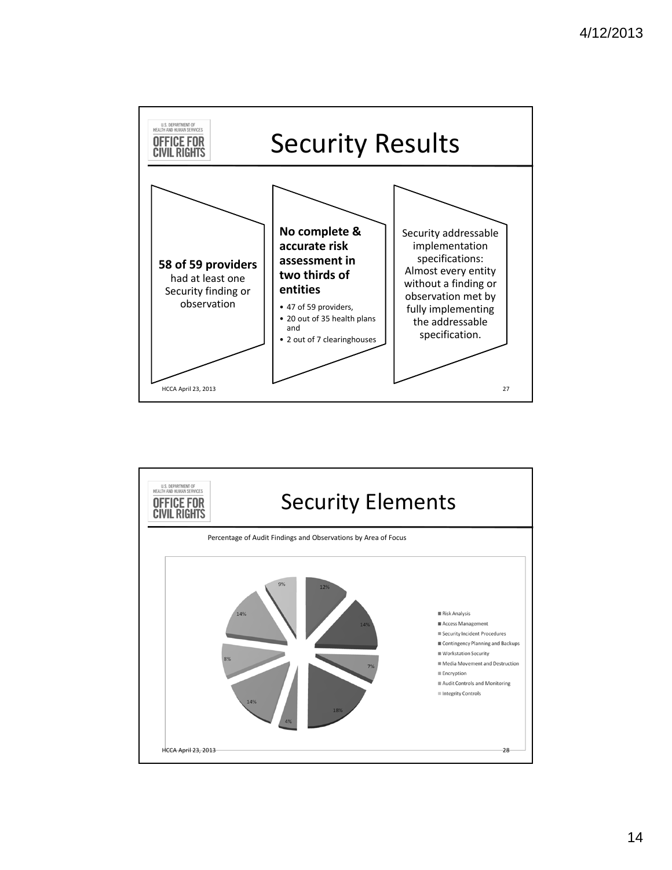

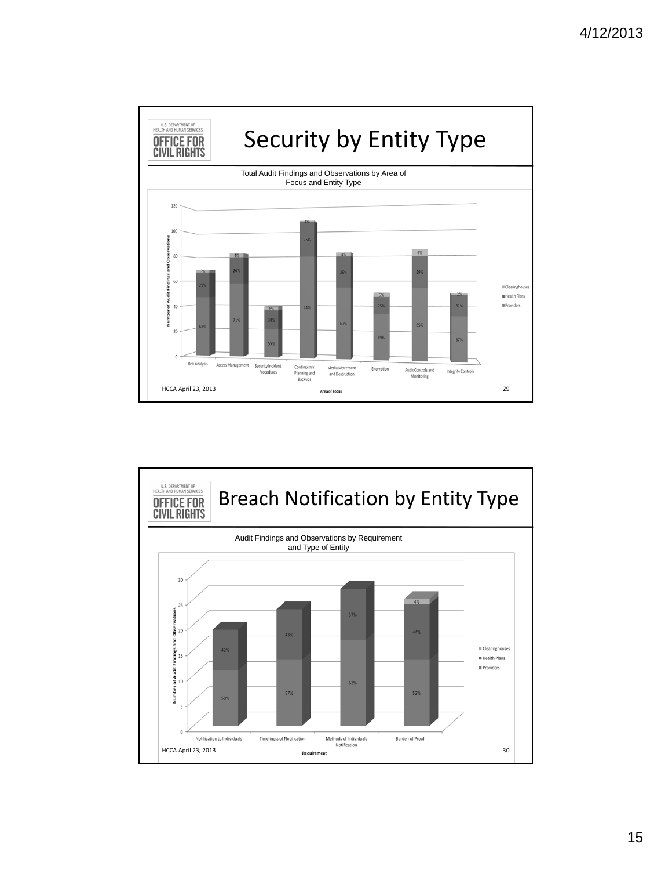

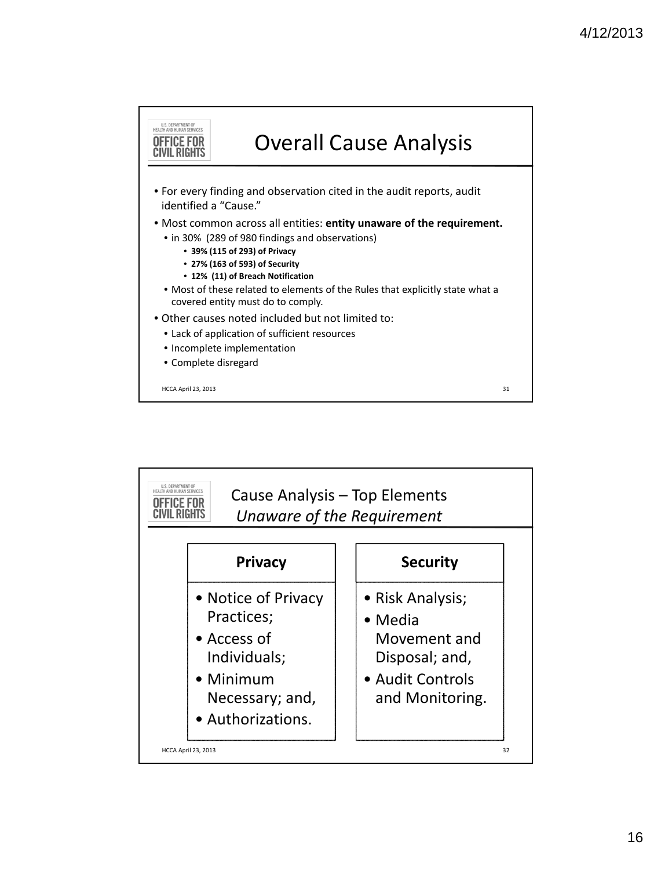